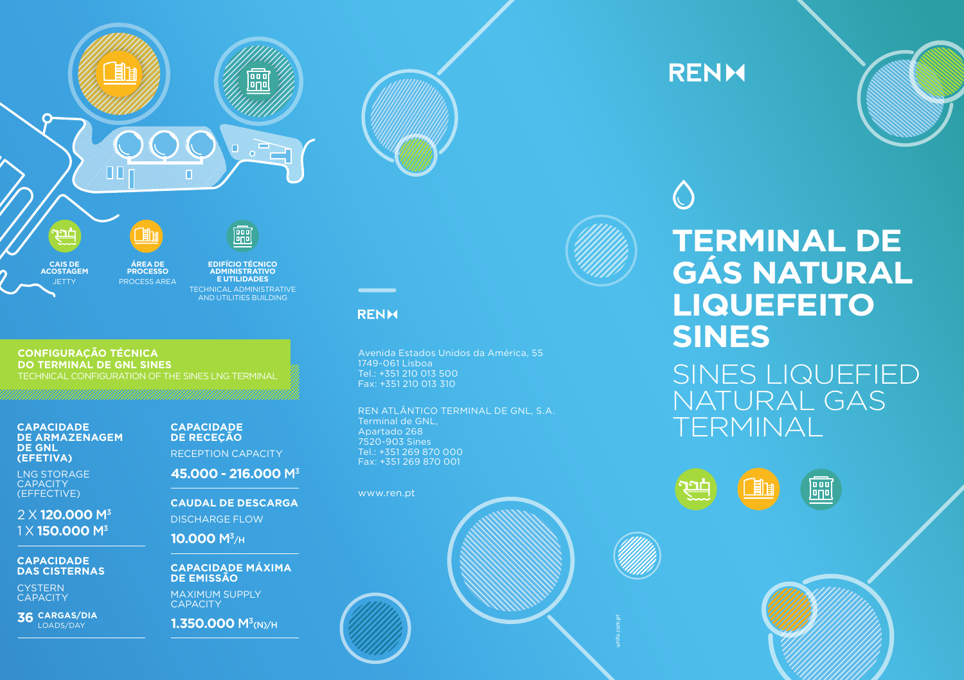

### **CONFIGURAÇÃO TÉCNICA DO TERMINAL DE GNL SINES** TECHNICAL CONFIGURATION OF THE SINES LNG TERMINAL

**CAPACIDADE DE ARMAZENAGEM DE GNL (EFETIVA)**

LNG STORAGE CAPACITY (EFFECTIVE)

### 2 X **120.000** M3 1 X **150.000** M3

### **CAPACIDADE DAS CISTERNAS**

**CYSTERN CAPACITY** 

**36 CARGAS/DIA** LOADS/DAY

### **CAPACIDADE DE RECEÇÃO**

RECEPTION CAPACITY

**45.000 - 216.000** M3

**CAUDAL DE DESCARGA**

DISCHARGE FLOW

**10.000** M3/H

### **CAPACIDADE MÁXIMA DE EMISSÃO**

MAXIMUM SUPPLY **CAPACITY** 

**1.350.000** M3(N)/H

### **RENM**

Avenida Estados Unidos da América, 55 1749-061 Lisboa Tel.: +351 210 013 500 Fax: +351 210 013 310

REN ATLÂNTICO TERMINAL DE GNL, S.A. Terminal de GNL, Apartado 268 7520-903 Sines Tel.: +351 269 870 000 Fax: +351 269 870 001

### www.ren.pt

**RENM** 



# **TERMINAL DE GÁS NATURAL LIQUEFEITO SINES** SINES LIQUEFIED

NATURAL GAS TERMINAL

酾